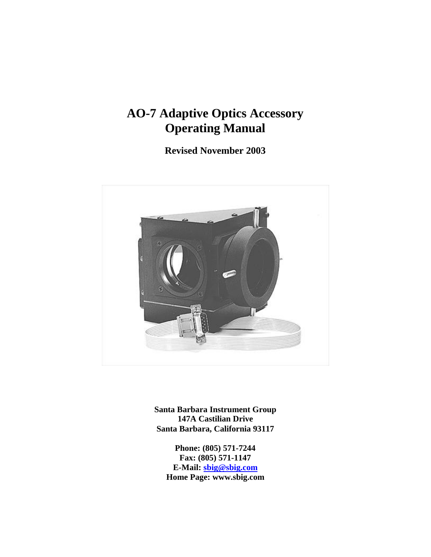# **AO-7 Adaptive Optics Accessory Operating Manual**

**Revised November 2003**



**Santa Barbara Instrument Group 147A Castilian Drive Santa Barbara, California 93117**

**Phone: (805) 571-7244 Fax: (805) 571-1147 E-Mail: sbig@sbig.com Home Page: www.sbig.com**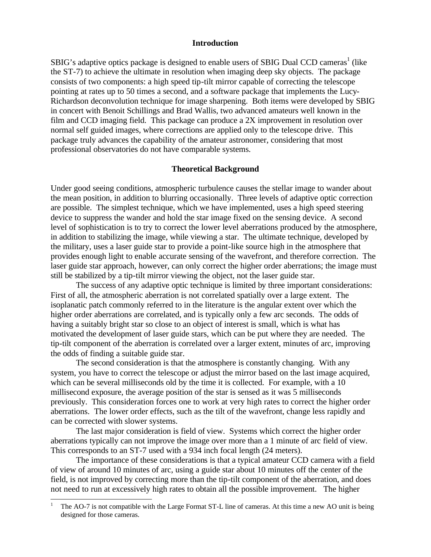#### **Introduction**

SBIG's adaptive optics package is designed to enable users of SBIG Dual CCD cameras<sup>1</sup> (like the ST-7) to achieve the ultimate in resolution when imaging deep sky objects. The package consists of two components: a high speed tip-tilt mirror capable of correcting the telescope pointing at rates up to 50 times a second, and a software package that implements the Lucy-Richardson deconvolution technique for image sharpening. Both items were developed by SBIG in concert with Benoit Schillings and Brad Wallis, two advanced amateurs well known in the film and CCD imaging field. This package can produce a 2X improvement in resolution over normal self guided images, where corrections are applied only to the telescope drive. This package truly advances the capability of the amateur astronomer, considering that most professional observatories do not have comparable systems.

#### **Theoretical Background**

Under good seeing conditions, atmospheric turbulence causes the stellar image to wander about the mean position, in addition to blurring occasionally. Three levels of adaptive optic correction are possible. The simplest technique, which we have implemented, uses a high speed steering device to suppress the wander and hold the star image fixed on the sensing device. A second level of sophistication is to try to correct the lower level aberrations produced by the atmosphere, in addition to stabilizing the image, while viewing a star. The ultimate technique, developed by the military, uses a laser guide star to provide a point-like source high in the atmosphere that provides enough light to enable accurate sensing of the wavefront, and therefore correction. The laser guide star approach, however, can only correct the higher order aberrations; the image must still be stabilized by a tip-tilt mirror viewing the object, not the laser guide star.

The success of any adaptive optic technique is limited by three important considerations: First of all, the atmospheric aberration is not correlated spatially over a large extent. The isoplanatic patch commonly referred to in the literature is the angular extent over which the higher order aberrations are correlated, and is typically only a few arc seconds. The odds of having a suitably bright star so close to an object of interest is small, which is what has motivated the development of laser guide stars, which can be put where they are needed. The tip-tilt component of the aberration is correlated over a larger extent, minutes of arc, improving the odds of finding a suitable guide star.

The second consideration is that the atmosphere is constantly changing. With any system, you have to correct the telescope or adjust the mirror based on the last image acquired, which can be several milliseconds old by the time it is collected. For example, with a 10 millisecond exposure, the average position of the star is sensed as it was 5 milliseconds previously. This consideration forces one to work at very high rates to correct the higher order aberrations. The lower order effects, such as the tilt of the wavefront, change less rapidly and can be corrected with slower systems.

The last major consideration is field of view. Systems which correct the higher order aberrations typically can not improve the image over more than a 1 minute of arc field of view. This corresponds to an ST-7 used with a 934 inch focal length (24 meters).

The importance of these considerations is that a typical amateur CCD camera with a field of view of around 10 minutes of arc, using a guide star about 10 minutes off the center of the field, is not improved by correcting more than the tip-tilt component of the aberration, and does not need to run at excessively high rates to obtain all the possible improvement. The higher

-

The AO-7 is not compatible with the Large Format ST-L line of cameras. At this time a new AO unit is being designed for those cameras.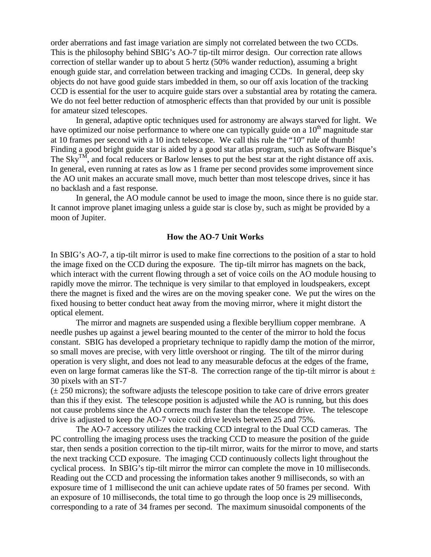order aberrations and fast image variation are simply not correlated between the two CCDs. This is the philosophy behind SBIG's AO-7 tip-tilt mirror design. Our correction rate allows correction of stellar wander up to about 5 hertz (50% wander reduction), assuming a bright enough guide star, and correlation between tracking and imaging CCDs. In general, deep sky objects do not have good guide stars imbedded in them, so our off axis location of the tracking CCD is essential for the user to acquire guide stars over a substantial area by rotating the camera. We do not feel better reduction of atmospheric effects than that provided by our unit is possible for amateur sized telescopes.

In general, adaptive optic techniques used for astronomy are always starved for light. We have optimized our noise performance to where one can typically guide on a  $10<sup>th</sup>$  magnitude star at 10 frames per second with a 10 inch telescope. We call this rule the "10" rule of thumb! Finding a good bright guide star is aided by a good star atlas program, such as Software Bisque's The  $\text{Sky}^{\text{TM}}$ , and focal reducers or Barlow lenses to put the best star at the right distance off axis. In general, even running at rates as low as 1 frame per second provides some improvement since the AO unit makes an accurate small move, much better than most telescope drives, since it has no backlash and a fast response.

In general, the AO module cannot be used to image the moon, since there is no guide star. It cannot improve planet imaging unless a guide star is close by, such as might be provided by a moon of Jupiter.

#### **How the AO-7 Unit Works**

In SBIG's AO-7, a tip-tilt mirror is used to make fine corrections to the position of a star to hold the image fixed on the CCD during the exposure. The tip-tilt mirror has magnets on the back, which interact with the current flowing through a set of voice coils on the AO module housing to rapidly move the mirror. The technique is very similar to that employed in loudspeakers, except there the magnet is fixed and the wires are on the moving speaker cone. We put the wires on the fixed housing to better conduct heat away from the moving mirror, where it might distort the optical element.

The mirror and magnets are suspended using a flexible beryllium copper membrane. A needle pushes up against a jewel bearing mounted to the center of the mirror to hold the focus constant. SBIG has developed a proprietary technique to rapidly damp the motion of the mirror, so small moves are precise, with very little overshoot or ringing. The tilt of the mirror during operation is very slight, and does not lead to any measurable defocus at the edges of the frame, even on large format cameras like the ST-8. The correction range of the tip-tilt mirror is about  $\pm$ 30 pixels with an ST-7

 $(± 250$  microns); the software adjusts the telescope position to take care of drive errors greater than this if they exist. The telescope position is adjusted while the AO is running, but this does not cause problems since the AO corrects much faster than the telescope drive. The telescope drive is adjusted to keep the AO-7 voice coil drive levels between 25 and 75%.

The AO-7 accessory utilizes the tracking CCD integral to the Dual CCD cameras. The PC controlling the imaging process uses the tracking CCD to measure the position of the guide star, then sends a position correction to the tip-tilt mirror, waits for the mirror to move, and starts the next tracking CCD exposure. The imaging CCD continuously collects light throughout the cyclical process. In SBIG's tip-tilt mirror the mirror can complete the move in 10 milliseconds. Reading out the CCD and processing the information takes another 9 milliseconds, so with an exposure time of 1 millisecond the unit can achieve update rates of 50 frames per second. With an exposure of 10 milliseconds, the total time to go through the loop once is 29 milliseconds, corresponding to a rate of 34 frames per second. The maximum sinusoidal components of the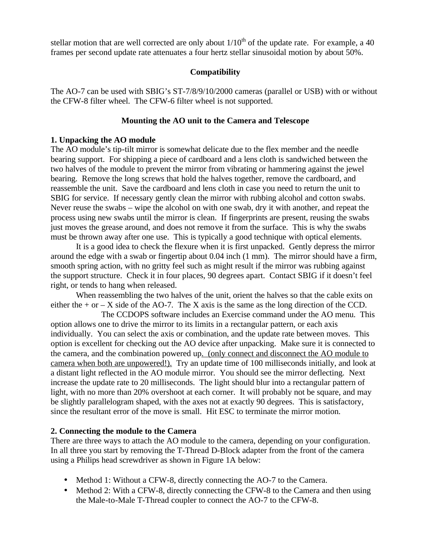stellar motion that are well corrected are only about  $1/10^{th}$  of the update rate. For example, a 40 frames per second update rate attenuates a four hertz stellar sinusoidal motion by about 50%.

## **Compatibility**

The AO-7 can be used with SBIG's ST-7/8/9/10/2000 cameras (parallel or USB) with or without the CFW-8 filter wheel. The CFW-6 filter wheel is not supported.

## **Mounting the AO unit to the Camera and Telescope**

### **1. Unpacking the AO module**

The AO module's tip-tilt mirror is somewhat delicate due to the flex member and the needle bearing support. For shipping a piece of cardboard and a lens cloth is sandwiched between the two halves of the module to prevent the mirror from vibrating or hammering against the jewel bearing. Remove the long screws that hold the halves together, remove the cardboard, and reassemble the unit. Save the cardboard and lens cloth in case you need to return the unit to SBIG for service. If necessary gently clean the mirror with rubbing alcohol and cotton swabs. Never reuse the swabs – wipe the alcohol on with one swab, dry it with another, and repeat the process using new swabs until the mirror is clean. If fingerprints are present, reusing the swabs just moves the grease around, and does not remove it from the surface. This is why the swabs must be thrown away after one use. This is typically a good technique with optical elements.

It is a good idea to check the flexure when it is first unpacked. Gently depress the mirror around the edge with a swab or fingertip about 0.04 inch (1 mm). The mirror should have a firm, smooth spring action, with no gritty feel such as might result if the mirror was rubbing against the support structure. Check it in four places, 90 degrees apart. Contact SBIG if it doesn't feel right, or tends to hang when released.

When reassembling the two halves of the unit, orient the halves so that the cable exits on either the  $+$  or  $-$  X side of the AO-7. The X axis is the same as the long direction of the CCD.

The CCDOPS software includes an Exercise command under the AO menu. This option allows one to drive the mirror to its limits in a rectangular pattern, or each axis individually. You can select the axis or combination, and the update rate between moves. This option is excellent for checking out the AO device after unpacking. Make sure it is connected to the camera, and the combination powered up. (only connect and disconnect the AO module to camera when both are unpowered!). Try an update time of 100 milliseconds initially, and look at a distant light reflected in the AO module mirror. You should see the mirror deflecting. Next increase the update rate to 20 milliseconds. The light should blur into a rectangular pattern of light, with no more than 20% overshoot at each corner. It will probably not be square, and may be slightly parallelogram shaped, with the axes not at exactly 90 degrees. This is satisfactory, since the resultant error of the move is small. Hit ESC to terminate the mirror motion.

### **2. Connecting the module to the Camera**

There are three ways to attach the AO module to the camera, depending on your configuration. In all three you start by removing the T-Thread D-Block adapter from the front of the camera using a Philips head screwdriver as shown in Figure 1A below:

- Method 1: Without a CFW-8, directly connecting the AO-7 to the Camera.
- Method 2: With a CFW-8, directly connecting the CFW-8 to the Camera and then using the Male-to-Male T-Thread coupler to connect the AO-7 to the CFW-8.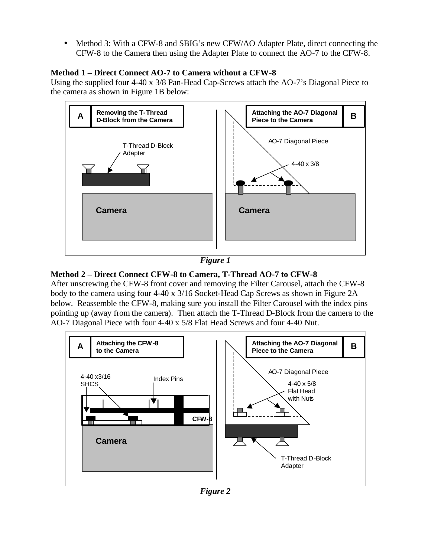• Method 3: With a CFW-8 and SBIG's new CFW/AO Adapter Plate, direct connecting the CFW-8 to the Camera then using the Adapter Plate to connect the AO-7 to the CFW-8.

## **Method 1 – Direct Connect AO-7 to Camera without a CFW-8**

Using the supplied four 4-40 x 3/8 Pan-Head Cap-Screws attach the AO-7's Diagonal Piece to the camera as shown in Figure 1B below:



*Figure 1*

## **Method 2 – Direct Connect CFW-8 to Camera, T-Thread AO-7 to CFW-8**

After unscrewing the CFW-8 front cover and removing the Filter Carousel, attach the CFW-8 body to the camera using four 4-40 x 3/16 Socket-Head Cap Screws as shown in Figure 2A below. Reassemble the CFW-8, making sure you install the Filter Carousel with the index pins pointing up (away from the camera). Then attach the T-Thread D-Block from the camera to the AO-7 Diagonal Piece with four 4-40 x 5/8 Flat Head Screws and four 4-40 Nut.



*Figure 2*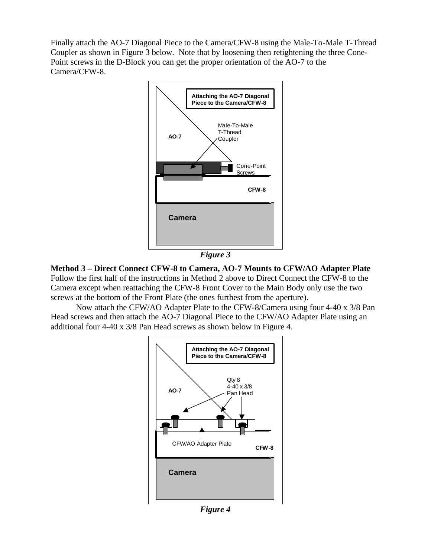Finally attach the AO-7 Diagonal Piece to the Camera/CFW-8 using the Male-To-Male T-Thread Coupler as shown in Figure 3 below. Note that by loosening then retightening the three Cone-Point screws in the D-Block you can get the proper orientation of the AO-7 to the Camera/CFW-8.





**Method 3 – Direct Connect CFW-8 to Camera, AO-7 Mounts to CFW/AO Adapter Plate** Follow the first half of the instructions in Method 2 above to Direct Connect the CFW-8 to the Camera except when reattaching the CFW-8 Front Cover to the Main Body only use the two screws at the bottom of the Front Plate (the ones furthest from the aperture).

Now attach the CFW/AO Adapter Plate to the CFW-8/Camera using four 4-40 x 3/8 Pan Head screws and then attach the AO-7 Diagonal Piece to the CFW/AO Adapter Plate using an additional four 4-40 x 3/8 Pan Head screws as shown below in Figure 4.



*Figure 4*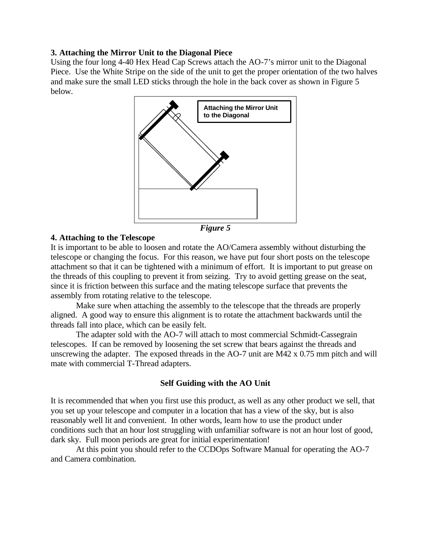## **3. Attaching the Mirror Unit to the Diagonal Piece**

Using the four long 4-40 Hex Head Cap Screws attach the AO-7's mirror unit to the Diagonal Piece. Use the White Stripe on the side of the unit to get the proper orientation of the two halves and make sure the small LED sticks through the hole in the back cover as shown in Figure 5 below.



*Figure 5*

## **4. Attaching to the Telescope**

It is important to be able to loosen and rotate the AO/Camera assembly without disturbing the telescope or changing the focus. For this reason, we have put four short posts on the telescope attachment so that it can be tightened with a minimum of effort. It is important to put grease on the threads of this coupling to prevent it from seizing. Try to avoid getting grease on the seat, since it is friction between this surface and the mating telescope surface that prevents the assembly from rotating relative to the telescope.

Make sure when attaching the assembly to the telescope that the threads are properly aligned. A good way to ensure this alignment is to rotate the attachment backwards until the threads fall into place, which can be easily felt.

The adapter sold with the AO-7 will attach to most commercial Schmidt-Cassegrain telescopes. If can be removed by loosening the set screw that bears against the threads and unscrewing the adapter. The exposed threads in the AO-7 unit are M42 x 0.75 mm pitch and will mate with commercial T-Thread adapters.

## **Self Guiding with the AO Unit**

It is recommended that when you first use this product, as well as any other product we sell, that you set up your telescope and computer in a location that has a view of the sky, but is also reasonably well lit and convenient. In other words, learn how to use the product under conditions such that an hour lost struggling with unfamiliar software is not an hour lost of good, dark sky. Full moon periods are great for initial experimentation!

At this point you should refer to the CCDOps Software Manual for operating the AO-7 and Camera combination.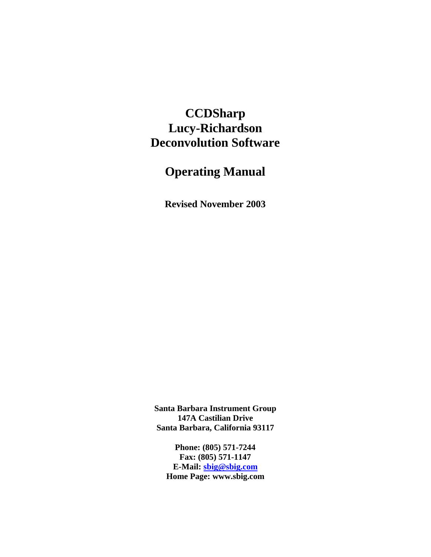## **CCDSharp Lucy-Richardson Deconvolution Software**

# **Operating Manual**

**Revised November 2003**

**Santa Barbara Instrument Group 147A Castilian Drive Santa Barbara, California 93117**

**Phone: (805) 571-7244 Fax: (805) 571-1147 E-Mail: sbig@sbig.com Home Page: www.sbig.com**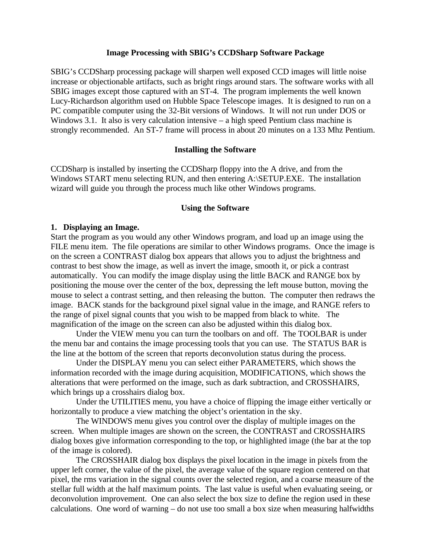#### **Image Processing with SBIG's CCDSharp Software Package**

SBIG's CCDSharp processing package will sharpen well exposed CCD images will little noise increase or objectionable artifacts, such as bright rings around stars. The software works with all SBIG images except those captured with an ST-4. The program implements the well known Lucy-Richardson algorithm used on Hubble Space Telescope images. It is designed to run on a PC compatible computer using the 32-Bit versions of Windows. It will not run under DOS or Windows 3.1. It also is very calculation intensive – a high speed Pentium class machine is strongly recommended. An ST-7 frame will process in about 20 minutes on a 133 Mhz Pentium.

### **Installing the Software**

CCDSharp is installed by inserting the CCDSharp floppy into the A drive, and from the Windows START menu selecting RUN, and then entering A:\SETUP.EXE. The installation wizard will guide you through the process much like other Windows programs.

#### **Using the Software**

#### **1. Displaying an Image.**

Start the program as you would any other Windows program, and load up an image using the FILE menu item. The file operations are similar to other Windows programs. Once the image is on the screen a CONTRAST dialog box appears that allows you to adjust the brightness and contrast to best show the image, as well as invert the image, smooth it, or pick a contrast automatically. You can modify the image display using the little BACK and RANGE box by positioning the mouse over the center of the box, depressing the left mouse button, moving the mouse to select a contrast setting, and then releasing the button. The computer then redraws the image. BACK stands for the background pixel signal value in the image, and RANGE refers to the range of pixel signal counts that you wish to be mapped from black to white. The magnification of the image on the screen can also be adjusted within this dialog box.

Under the VIEW menu you can turn the toolbars on and off. The TOOLBAR is under the menu bar and contains the image processing tools that you can use. The STATUS BAR is the line at the bottom of the screen that reports deconvolution status during the process.

Under the DISPLAY menu you can select either PARAMETERS, which shows the information recorded with the image during acquisition, MODIFICATIONS, which shows the alterations that were performed on the image, such as dark subtraction, and CROSSHAIRS, which brings up a crosshairs dialog box.

Under the UTILITIES menu, you have a choice of flipping the image either vertically or horizontally to produce a view matching the object's orientation in the sky.

The WINDOWS menu gives you control over the display of multiple images on the screen. When multiple images are shown on the screen, the CONTRAST and CROSSHAIRS dialog boxes give information corresponding to the top, or highlighted image (the bar at the top of the image is colored).

The CROSSHAIR dialog box displays the pixel location in the image in pixels from the upper left corner, the value of the pixel, the average value of the square region centered on that pixel, the rms variation in the signal counts over the selected region, and a coarse measure of the stellar full width at the half maximum points. The last value is useful when evaluating seeing, or deconvolution improvement. One can also select the box size to define the region used in these calculations. One word of warning – do not use too small a box size when measuring halfwidths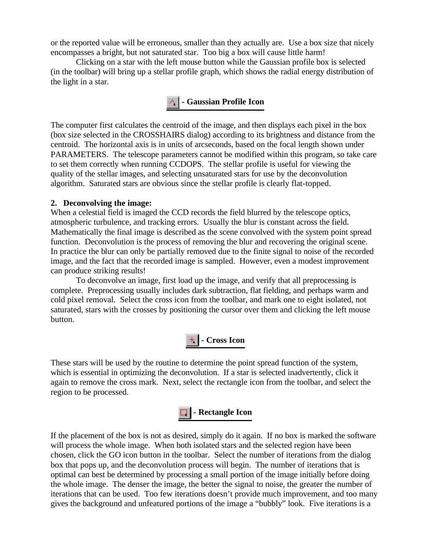or the reported value will be erroneous, smaller than they actually are. Use a box size that nicely encompasses a bright, but not saturated star. Too big a box will cause little harm!

Clicking on a star with the left mouse button while the Gaussian profile box is selected (in the toolbar) will bring up a stellar profile graph, which shows the radial energy distribution of the light in a star.

## **- Gaussian Profile Icon**

The computer first calculates the centroid of the image, and then displays each pixel in the box (box size selected in the CROSSHAIRS dialog) according to its brightness and distance from the centroid. The horizontal axis is in units of arcseconds, based on the focal length shown under PARAMETERS. The telescope parameters cannot be modified within this program, so take care to set them correctly when running CCDOPS. The stellar profile is useful for viewing the quality of the stellar images, and selecting unsaturated stars for use by the deconvolution algorithm. Saturated stars are obvious since the stellar profile is clearly flat-topped.

## **2. Deconvolving the image:**

When a celestial field is imaged the CCD records the field blurred by the telescope optics, atmospheric turbulence, and tracking errors. Usually the blur is constant across the field. Mathematically the final image is described as the scene convolved with the system point spread function. Deconvolution is the process of removing the blur and recovering the original scene. In practice the blur can only be partially removed due to the finite signal to noise of the recorded image, and the fact that the recorded image is sampled. However, even a modest improvement can produce striking results!

To deconvolve an image, first load up the image, and verify that all preprocessing is complete. Preprocessing usually includes dark subtraction, flat fielding, and perhaps warm and cold pixel removal. Select the cross icon from the toolbar, and mark one to eight isolated, not saturated, stars with the crosses by positioning the cursor over them and clicking the left mouse button.



These stars will be used by the routine to determine the point spread function of the system, which is essential in optimizing the deconvolution. If a star is selected inadvertently, click it again to remove the cross mark. Next, select the rectangle icon from the toolbar, and select the region to be processed.



If the placement of the box is not as desired, simply do it again. If no box is marked the software will process the whole image. When both isolated stars and the selected region have been chosen, click the GO icon button in the toolbar. Select the number of iterations from the dialog box that pops up, and the deconvolution process will begin. The number of iterations that is optimal can best be determined by processing a small portion of the image initially before doing the whole image. The denser the image, the better the signal to noise, the greater the number of iterations that can be used. Too few iterations doesn't provide much improvement, and too many gives the background and unfeatured portions of the image a "bubbly" look. Five iterations is a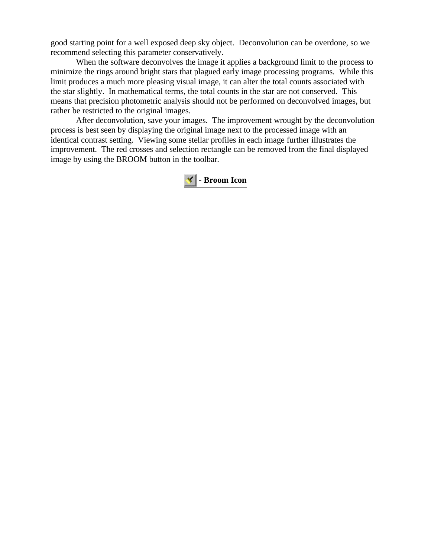good starting point for a well exposed deep sky object. Deconvolution can be overdone, so we recommend selecting this parameter conservatively.

When the software deconvolves the image it applies a background limit to the process to minimize the rings around bright stars that plagued early image processing programs. While this limit produces a much more pleasing visual image, it can alter the total counts associated with the star slightly. In mathematical terms, the total counts in the star are not conserved. This means that precision photometric analysis should not be performed on deconvolved images, but rather be restricted to the original images.

After deconvolution, save your images. The improvement wrought by the deconvolution process is best seen by displaying the original image next to the processed image with an identical contrast setting. Viewing some stellar profiles in each image further illustrates the improvement. The red crosses and selection rectangle can be removed from the final displayed image by using the BROOM button in the toolbar.